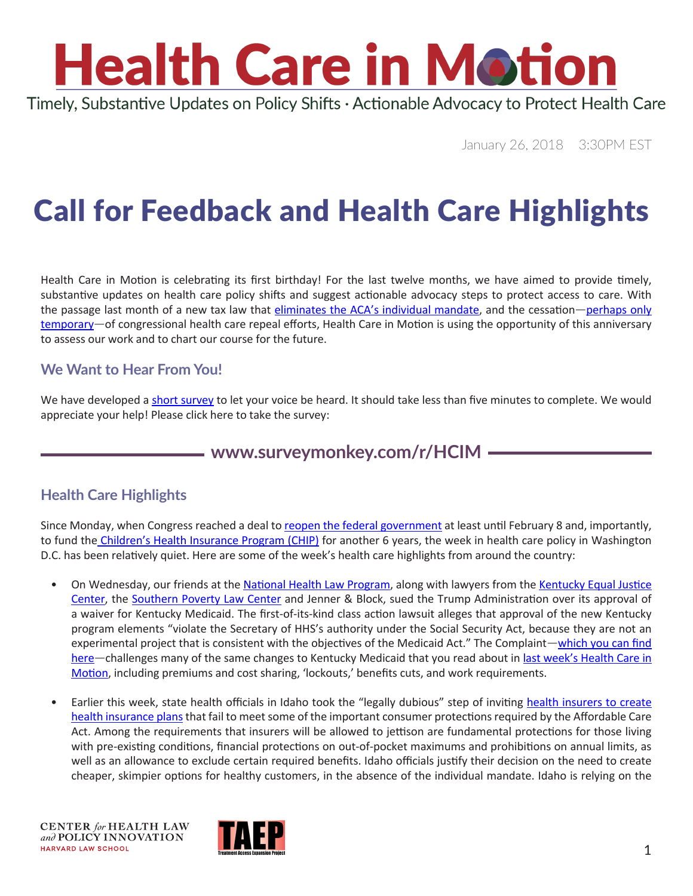# **Health Care in Motion**

Timely, Substantive Updates on Policy Shifts · Actionable Advocacy to Protect Health Care

January 26, 2018 3:30PM EST

### Call for Feedback and Health Care Highlights

Health Care in Motion is celebrating its first birthday! For the last twelve months, we have aimed to provide timely, substantive updates on health care policy shifts and suggest actionable advocacy steps to protect access to care. With the passage last month of a new tax law that [eliminates the ACA's individual mandate,](https://www.chlpi.org/wp-content/uploads/2013/12/HCIM_11_17_2017.pdf) and the cessation—perhaps only [temporary](http://thehill.com/policy/healthcare/370524-cruz-pushes-to-revisit-obamacare-repeal-this-year)—of congressional health care repeal efforts, Health Care in Motion is using the opportunity of this anniversary to assess our work and to chart our course for the future.

#### **We Want to Hear From You!**

We have developed a [short survey](https://www.surveymonkey.com/r/HCIM) to let your voice be heard. It should take less than five minutes to complete. We would appreciate your help! Please click here to take the survey:

#### **[www.surveymonkey.com/r/HCIM](http://www.surveymonkey.com/r/HCIM)**

#### **Health Care Highlights**

Since Monday, when [Congress reached a deal to reopen the federal government](https://www.washingtonpost.com/news/monkey-cage/wp/2018/01/24/four-takeaways-from-the-short-lived-shutdown/?utm_term=.22dd636c27dc) at least until February 8 and, importantly, [to fund the Children's Health Insurance Program \(CHIP\) for another 6 years](https://www.washingtonpost.com/national/health-science/chip-renewed-for-six-years-as-congress-votes-to-reopen-federal-government/2018/01/22/4c5d2006-ffce-11e7-86b9-8908743c79dd_story.html?utm_term=.687ae28ef66b), the week in health care policy in Washington D.C. has been relatively quiet. Here are some of the week's health care highlights from around the country:

- On Wednesday, our friends at the [National Health Law Program,](http://www.healthlaw.org/news/press-releases/698-kentuckians-sue-trump-over-radical-changes-to-medicaid) along with lawyers from the Kentucky Equal Justice [Center](http://www.kyequaljustice.org/), the [Southern Poverty Law Center](https://www.splcenter.org/) and Jenner & Block, sued the Trump Administration over its approval of a waiver for Kentucky Medicaid. The first-of-its-kind class action lawsuit alleges that approval of the new Kentucky program elements "violate the Secretary of HHS's authority under the Social Security Act, because they are not an experimental project that is consistent with the objectives of the Medicaid Act." The Complaint—[which you can find](http://www.healthlaw.org/publications/browse-all-publications/stewart-v-hargan-lawsuit-challenging-kentucky-medicaid-waiver-project#.WmjF9KinGUk)  [here](http://www.healthlaw.org/publications/browse-all-publications/stewart-v-hargan-lawsuit-challenging-kentucky-medicaid-waiver-project#.WmjF9KinGUk)—challenges many of the same changes to Kentucky Medicaid that you read about in last week's Health Care in [Motion,](https://www.chlpi.org/wp-content/uploads/2013/12/HCIM_01_19_2018.pdf) including premiums and cost sharing, 'lockouts,' benefits cuts, and work requirements.
- Earlier this week, state health officials in Idaho took the "legally dubious" step of inviting health insurers to create [health insurance plans that fail to meet some of the important consumer protections required by the Affordable Care](https://apnews.com/397f0dfbb9b8414285d75ec85286437a)  [Act.](https://apnews.com/397f0dfbb9b8414285d75ec85286437a) Among the requirements that insurers will be allowed to jettison are fundamental protections for those living with pre-existing conditions, financial protections on out-of-pocket maximums and prohibitions on annual limits, as well as an allowance to exclude certain required benefits. Idaho officials justify their decision on the need to create cheaper, skimpier options for healthy customers, in the absence of the individual mandate. Idaho is relying on the